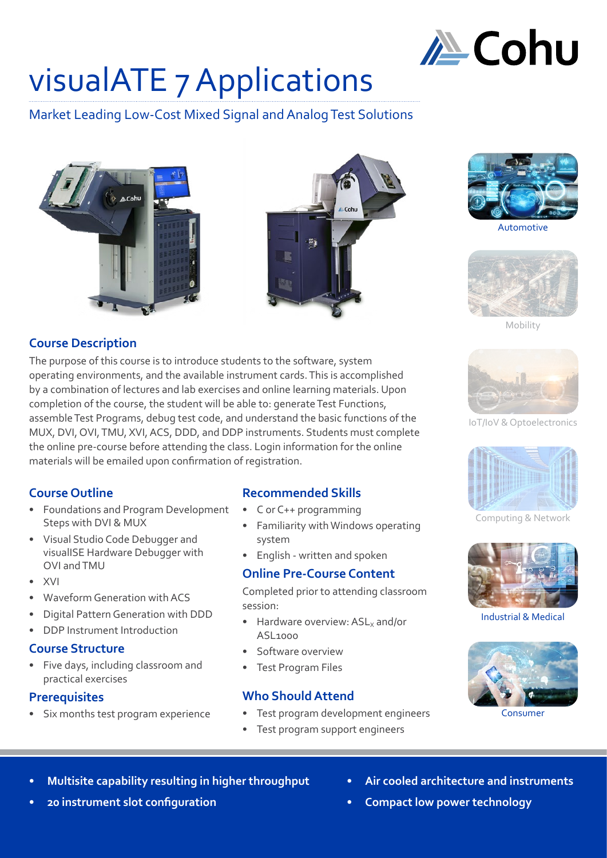

## visualATE 7 Applications

Market Leading Low-Cost Mixed Signal and Analog Test Solutions







**Automotive** 



Mobility

### **Course Description**

The purpose of this course is to introduce students to the software, system operating environments, and the available instrument cards. This is accomplished by a combination of lectures and lab exercises and online learning materials. Upon completion of the course, the student will be able to: generate Test Functions, assemble Test Programs, debug test code, and understand the basic functions of the MUX, DVI, OVI, TMU, XVI, ACS, DDD, and DDP instruments. Students must complete the online pre-course before attending the class. Login information for the online materials will be emailed upon confirmation of registration.

### **Course Outline**

- Foundations and Program Development Steps with DVI & MUX
- Visual Studio Code Debugger and visualISE Hardware Debugger with OVI and TMU
- XVI
- Waveform Generation with ACS
- Digital Pattern Generation with DDD
- DDP Instrument Introduction

### **Course Structure**

• Five days, including classroom and practical exercises

### **Prerequisites**

Six months test program experience

### **Recommended Skills**

- C or C++ programming
- Familiarity with Windows operating system
- English written and spoken

### **Online Pre-Course Content**

Completed prior to attending classroom session:

- Hardware overview:  $ASL<sub>x</sub>$  and/or ASL1000
- Software overview
- Test Program Files

### **Who Should Attend**

- Test program development engineers
	- Test program support engineers



IoT/IoV & Optoelectronics

Computing & Network



Industrial & Medical



Consumer

- **• Multisite capability resulting in higher throughput**
- **• 20 instrument slot configuration**
- **• Air cooled architecture and instruments**
- **• Compact low power technology**